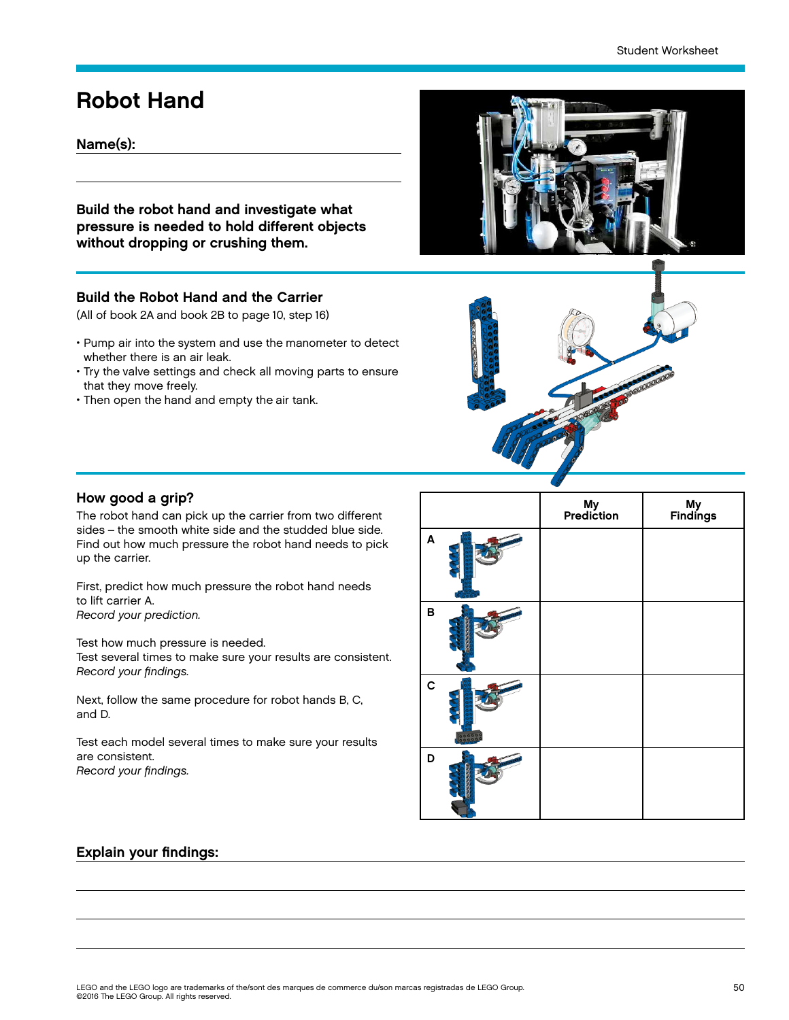## Robot Hand

## Name(s):

Build the robot hand and investigate what pressure is needed to hold different objects without dropping or crushing them.

### Build the Robot Hand and the Carrier

(All of book 2A and book 2B to page 10, step 16)

- Pump air into the system and use the manometer to detect whether there is an air leak.
- Try the valve settings and check all moving parts to ensure that they move freely.
- Then open the hand and empty the air tank.





#### How good a grip?

The robot hand can pick up the carrier from two different sides – the smooth white side and the studded blue side. Find out how much pressure the robot hand needs to pick up the carrier.

First, predict how much pressure the robot hand needs to lift carrier A. Record your prediction.

Test how much pressure is needed.

Test several times to make sure your results are consistent. Record your findings.

Next, follow the same procedure for robot hands B, C, and D.

Test each model several times to make sure your results are consistent. Record your findings.

|             | My<br>Prediction | My<br>Findings |
|-------------|------------------|----------------|
| A           |                  |                |
| B           |                  |                |
| $\mathbf c$ |                  |                |
| D           |                  |                |

### Explain your findings: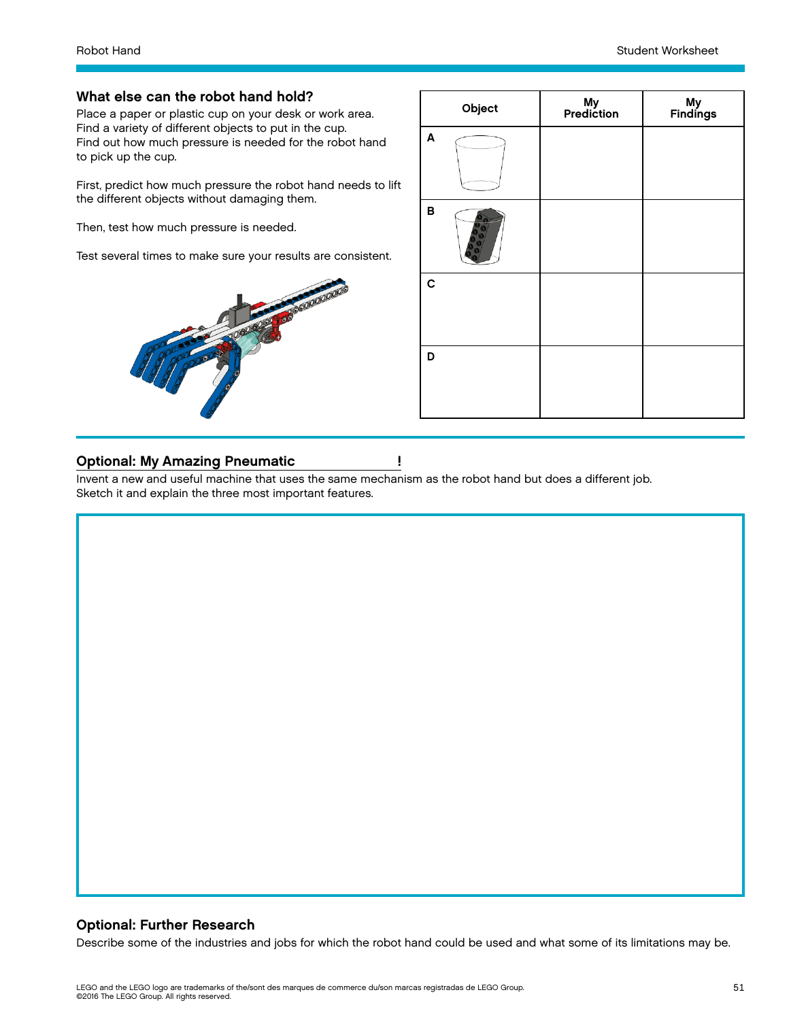#### What else can the robot hand hold?

Place a paper or plastic cup on your desk or work area. Find a variety of different objects to put in the cup. Find out how much pressure is needed for the robot hand to pick up the cup.

First, predict how much pressure the robot hand needs to lift the different objects without damaging them.

Then, test how much pressure is needed.

Test several times to make sure your results are consistent.



|   | Object | My<br>Prediction | My<br>Findings |
|---|--------|------------------|----------------|
| A |        |                  |                |
| В |        |                  |                |
| C |        |                  |                |
| D |        |                  |                |

#### Optional: My Amazing Pneumatic !

Invent a new and useful machine that uses the same mechanism as the robot hand but does a different job. Sketch it and explain the three most important features.

## Optional: Further Research

Describe some of the industries and jobs for which the robot hand could be used and what some of its limitations may be.